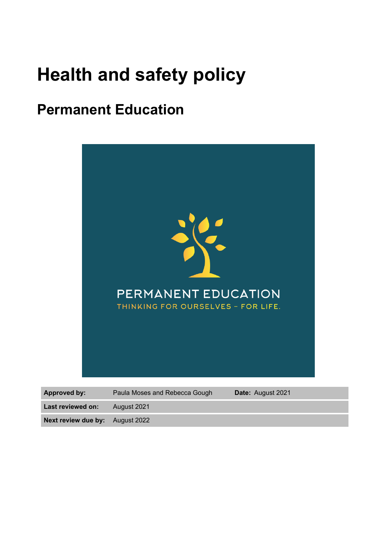# **Health and safety policy**

# **Permanent Education**



| <b>Approved by:</b>                    | Paula Moses and Rebecca Gough | <b>Date:</b> August 2021 |
|----------------------------------------|-------------------------------|--------------------------|
| Last reviewed on:                      | August 2021                   |                          |
| <b>Next review due by:</b> August 2022 |                               |                          |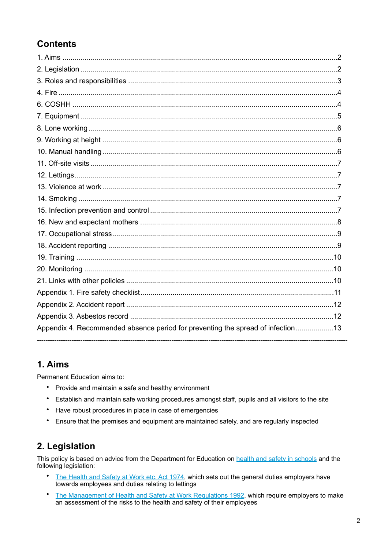### **Contents**

| Appendix 4. Recommended absence period for preventing the spread of infection13 |  |
|---------------------------------------------------------------------------------|--|

### <span id="page-1-0"></span>1. Aims

Permanent Education aims to:

- Provide and maintain a safe and healthy environment  $\bullet$
- $\bullet$ Establish and maintain safe working procedures amongst staff, pupils and all visitors to the site
- $\bullet$ Have robust procedures in place in case of emergencies
- $\bullet$ Ensure that the premises and equipment are maintained safely, and are regularly inspected

### <span id="page-1-1"></span>2. Legislation

This policy is based on advice from the Department for Education on health and safety in schools and the following legislation:

- The Health and Safety at Work etc. Act 1974, which sets out the general duties employers have towards employees and duties relating to lettings
- The Management of Health and Safety at Work Regulations 1992, which require employers to make an assessment of the risks to the health and safety of their employees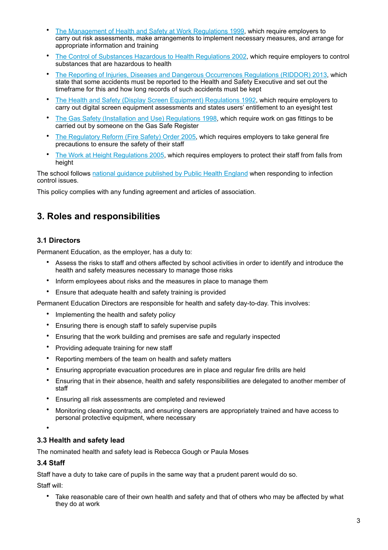- [The Management of Health and Safety at Work Regulations 1999](http://www.legislation.gov.uk/uksi/1999/3242/contents/made), which require employers to carry out risk assessments, make arrangements to implement necessary measures, and arrange for appropriate information and training
- [The Control of Substances Hazardous to Health Regulations 2002](http://www.legislation.gov.uk/uksi/2002/2677/contents/made), which require employers to control substances that are hazardous to health
- [The Reporting of Injuries, Diseases and Dangerous Occurrences Regulations \(RIDDOR\) 2013](http://www.legislation.gov.uk/uksi/2013/1471/schedule/1/paragraph/1/made), which state that some accidents must be reported to the Health and Safety Executive and set out the timeframe for this and how long records of such accidents must be kept
- [The Health and Safety \(Display Screen Equipment\) Regulations 1992](http://www.legislation.gov.uk/uksi/1992/2792/contents/made), which require employers to carry out digital screen equipment assessments and states users' entitlement to an eyesight test
- [The Gas Safety \(Installation and Use\) Regulations 1998](http://www.legislation.gov.uk/uksi/1998/2451/regulation/4/made), which require work on gas fittings to be carried out by someone on the Gas Safe Register
- [The Regulatory Reform \(Fire Safety\) Order 2005](http://www.legislation.gov.uk/uksi/2005/1541/part/2/made), which requires employers to take general fire precautions to ensure the safety of their staff
- [The Work at Height Regulations 2005,](http://www.legislation.gov.uk/uksi/2005/735/contents/made) which requires employers to protect their staff from falls from height

The school follows [national guidance published by Public Health England](https://www.gov.uk/government/publications/health-protection-in-schools-and-other-childcare-facilities/chapter-9-managing-specific-infectious-diseases) when responding to infection control issues.

This policy complies with any funding agreement and articles of association.

### <span id="page-2-0"></span>**3. Roles and responsibilities**

#### **3.1 Directors**

Permanent Education, as the employer, has a duty to:

- Assess the risks to staff and others affected by school activities in order to identify and introduce the health and safety measures necessary to manage those risks
- Inform employees about risks and the measures in place to manage them
- Ensure that adequate health and safety training is provided

Permanent Education Directors are responsible for health and safety day-to-day. This involves:

- Implementing the health and safety policy
- Ensuring there is enough staff to safely supervise pupils
- Ensuring that the work building and premises are safe and regularly inspected
- Providing adequate training for new staff
- Reporting members of the team on health and safety matters
- Ensuring appropriate evacuation procedures are in place and regular fire drills are held
- Ensuring that in their absence, health and safety responsibilities are delegated to another member of staff
- Ensuring all risk assessments are completed and reviewed
- Monitoring cleaning contracts, and ensuring cleaners are appropriately trained and have access to personal protective equipment, where necessary

•

#### **3.3 Health and safety lead**

The nominated health and safety lead is Rebecca Gough or Paula Moses

#### **3.4 Staff**

Staff have a duty to take care of pupils in the same way that a prudent parent would do so.

Staff will:

Take reasonable care of their own health and safety and that of others who may be affected by what they do at work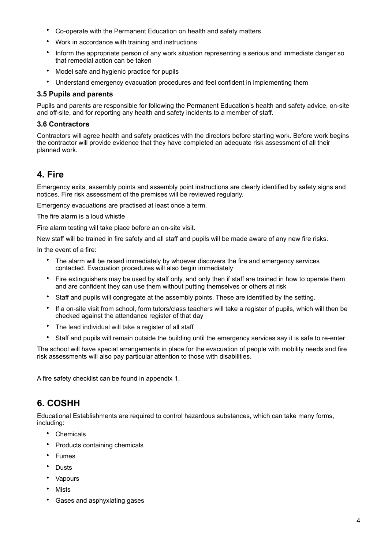- Co-operate with the Permanent Education on health and safety matters
- Work in accordance with training and instructions
- Inform the appropriate person of any work situation representing a serious and immediate danger so that remedial action can be taken
- Model safe and hygienic practice for pupils
- Understand emergency evacuation procedures and feel confident in implementing them

#### **3.5 Pupils and parents**

Pupils and parents are responsible for following the Permanent Education's health and safety advice, on-site and off-site, and for reporting any health and safety incidents to a member of staff.

#### **3.6 Contractors**

Contractors will agree health and safety practices with the directors before starting work. Before work begins the contractor will provide evidence that they have completed an adequate risk assessment of all their planned work.

### <span id="page-3-0"></span>**4. Fire**

Emergency exits, assembly points and assembly point instructions are clearly identified by safety signs and notices. Fire risk assessment of the premises will be reviewed regularly.

Emergency evacuations are practised at least once a term.

The fire alarm is a loud whistle

Fire alarm testing will take place before an on-site visit.

New staff will be trained in fire safety and all staff and pupils will be made aware of any new fire risks.

In the event of a fire:

- The alarm will be raised immediately by whoever discovers the fire and emergency services contacted. Evacuation procedures will also begin immediately
- Fire extinguishers may be used by staff only, and only then if staff are trained in how to operate them and are confident they can use them without putting themselves or others at risk
- Staff and pupils will congregate at the assembly points. These are identified by the setting.
- If a on-site visit from school, form tutors/class teachers will take a register of pupils, which will then be checked against the attendance register of that day
- The lead individual will take a register of all staff
- Staff and pupils will remain outside the building until the emergency services say it is safe to re-enter

The school will have special arrangements in place for the evacuation of people with mobility needs and fire risk assessments will also pay particular attention to those with disabilities.

A fire safety checklist can be found in appendix 1.

### <span id="page-3-1"></span>**6. COSHH**

Educational Establishments are required to control hazardous substances, which can take many forms, including:

- **Chemicals**
- Products containing chemicals
- **Fumes**
- Dusts
- **Vapours**
- Mists
- Gases and asphyxiating gases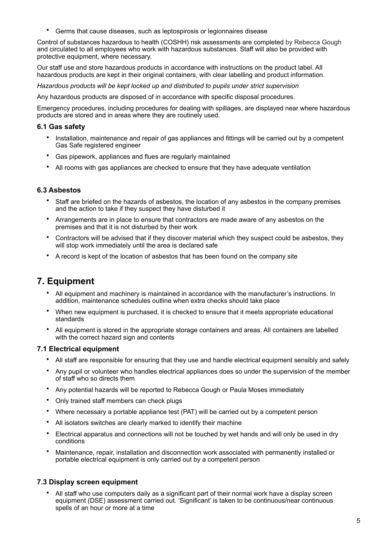• Germs that cause diseases, such as leptospirosis or legionnaires disease

Control of substances hazardous to health (COSHH) risk assessments are completed by Rebecca Gough and circulated to all employees who work with hazardous substances. Staff will also be provided with protective equipment, where necessary.

Our staff use and store hazardous products in accordance with instructions on the product label. All hazardous products are kept in their original containers, with clear labelling and product information.

*Hazardous products will be kept locked up and distributed to pupils under strict supervision*

Any hazardous products are disposed of in accordance with specific disposal procedures.

Emergency procedures, including procedures for dealing with spillages, are displayed near where hazardous products are stored and in areas where they are routinely used.

#### **6.1 Gas safety**

- Installation, maintenance and repair of gas appliances and fittings will be carried out by a competent Gas Safe registered engineer
- Gas pipework, appliances and flues are regularly maintained
- All rooms with gas appliances are checked to ensure that they have adequate ventilation

#### **6.3 Asbestos**

- Staff are briefed on the hazards of asbestos, the location of any asbestos in the company premises and the action to take if they suspect they have disturbed it
- Arrangements are in place to ensure that contractors are made aware of any asbestos on the premises and that it is not disturbed by their work
- Contractors will be advised that if they discover material which they suspect could be asbestos, they will stop work immediately until the area is declared safe
- A record is kept of the location of asbestos that has been found on the company site

### <span id="page-4-0"></span>**7. Equipment**

- All equipment and machinery is maintained in accordance with the manufacturer's instructions. In addition, maintenance schedules outline when extra checks should take place
- When new equipment is purchased, it is checked to ensure that it meets appropriate educational standards
- All equipment is stored in the appropriate storage containers and areas. All containers are labelled with the correct hazard sign and contents

#### **7.1 Electrical equipment**

- All staff are responsible for ensuring that they use and handle electrical equipment sensibly and safely
- Any pupil or volunteer who handles electrical appliances does so under the supervision of the member of staff who so directs them
- Any potential hazards will be reported to Rebecca Gough or Paula Moses immediately
- Only trained staff members can check plugs
- Where necessary a portable appliance test (PAT) will be carried out by a competent person
- All isolators switches are clearly marked to identify their machine
- Electrical apparatus and connections will not be touched by wet hands and will only be used in dry conditions
- Maintenance, repair, installation and disconnection work associated with permanently installed or portable electrical equipment is only carried out by a competent person

#### **7.3 Display screen equipment**

• All staff who use computers daily as a significant part of their normal work have a display screen equipment (DSE) assessment carried out. 'Significant' is taken to be continuous/near continuous spells of an hour or more at a time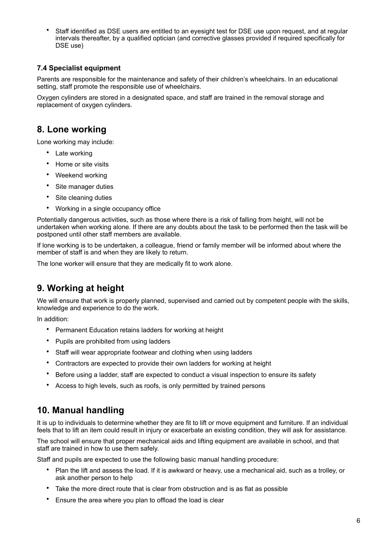• Staff identified as DSE users are entitled to an eyesight test for DSE use upon request, and at regular intervals thereafter, by a qualified optician (and corrective glasses provided if required specifically for DSE use)

#### **7.4 Specialist equipment**

Parents are responsible for the maintenance and safety of their children's wheelchairs. In an educational setting, staff promote the responsible use of wheelchairs.

Oxygen cylinders are stored in a designated space, and staff are trained in the removal storage and replacement of oxygen cylinders.

### <span id="page-5-0"></span>**8. Lone working**

Lone working may include:

- Late working
- Home or site visits
- Weekend working
- Site manager duties
- Site cleaning duties
- Working in a single occupancy office

Potentially dangerous activities, such as those where there is a risk of falling from height, will not be undertaken when working alone. If there are any doubts about the task to be performed then the task will be postponed until other staff members are available.

If lone working is to be undertaken, a colleague, friend or family member will be informed about where the member of staff is and when they are likely to return.

The lone worker will ensure that they are medically fit to work alone.

### <span id="page-5-1"></span>**9. Working at height**

We will ensure that work is properly planned, supervised and carried out by competent people with the skills, knowledge and experience to do the work.

In addition:

- Permanent Education retains ladders for working at height
- Pupils are prohibited from using ladders
- Staff will wear appropriate footwear and clothing when using ladders
- Contractors are expected to provide their own ladders for working at height
- Before using a ladder, staff are expected to conduct a visual inspection to ensure its safety
- Access to high levels, such as roofs, is only permitted by trained persons

### <span id="page-5-2"></span>**10. Manual handling**

It is up to individuals to determine whether they are fit to lift or move equipment and furniture. If an individual feels that to lift an item could result in injury or exacerbate an existing condition, they will ask for assistance.

The school will ensure that proper mechanical aids and lifting equipment are available in school, and that staff are trained in how to use them safely.

Staff and pupils are expected to use the following basic manual handling procedure:

- Plan the lift and assess the load. If it is awkward or heavy, use a mechanical aid, such as a trolley, or ask another person to help
- Take the more direct route that is clear from obstruction and is as flat as possible
- Ensure the area where you plan to offload the load is clear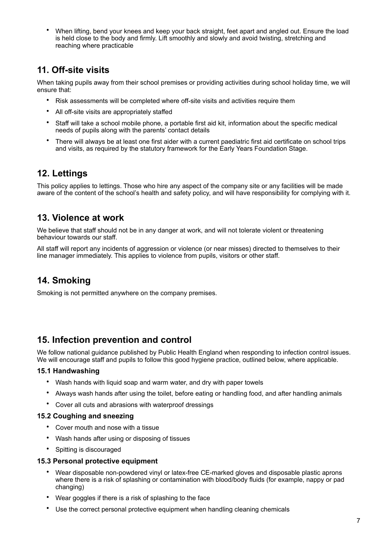• When lifting, bend your knees and keep your back straight, feet apart and angled out. Ensure the load is held close to the body and firmly. Lift smoothly and slowly and avoid twisting, stretching and reaching where practicable

### <span id="page-6-0"></span>**11. Off-site visits**

When taking pupils away from their school premises or providing activities during school holiday time, we will ensure that:

- Risk assessments will be completed where off-site visits and activities require them
- All off-site visits are appropriately staffed
- Staff will take a school mobile phone, a portable first aid kit, information about the specific medical needs of pupils along with the parents' contact details
- There will always be at least one first aider with a current paediatric first aid certificate on school trips and visits, as required by the statutory framework for the Early Years Foundation Stage.

### <span id="page-6-1"></span>**12. Lettings**

This policy applies to lettings. Those who hire any aspect of the company site or any facilities will be made aware of the content of the school's health and safety policy, and will have responsibility for complying with it.

### <span id="page-6-2"></span>**13. Violence at work**

We believe that staff should not be in any danger at work, and will not tolerate violent or threatening behaviour towards our staff.

All staff will report any incidents of aggression or violence (or near misses) directed to themselves to their line manager immediately. This applies to violence from pupils, visitors or other staff.

### <span id="page-6-3"></span>**14. Smoking**

Smoking is not permitted anywhere on the company premises.

### <span id="page-6-4"></span>**15. Infection prevention and control**

We follow national guidance published by Public Health England when responding to infection control issues. We will encourage staff and pupils to follow this good hygiene practice, outlined below, where applicable.

#### **15.1 Handwashing**

- Wash hands with liquid soap and warm water, and dry with paper towels
- Always wash hands after using the toilet, before eating or handling food, and after handling animals
- Cover all cuts and abrasions with waterproof dressings

#### **15.2 Coughing and sneezing**

- Cover mouth and nose with a tissue
- Wash hands after using or disposing of tissues
- Spitting is discouraged

#### **15.3 Personal protective equipment**

- Wear disposable non-powdered vinyl or latex-free CE-marked gloves and disposable plastic aprons where there is a risk of splashing or contamination with blood/body fluids (for example, nappy or pad changing)
- Wear goggles if there is a risk of splashing to the face
- Use the correct personal protective equipment when handling cleaning chemicals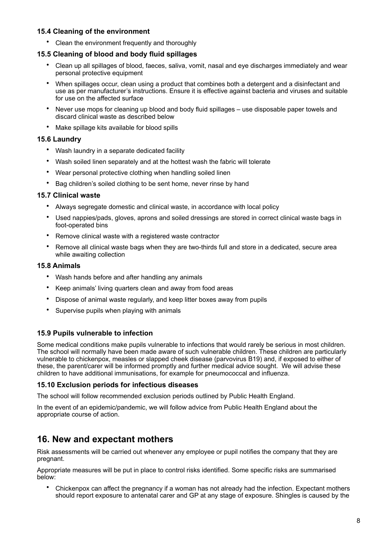#### **15.4 Cleaning of the environment**

• Clean the environment frequently and thoroughly

#### **15.5 Cleaning of blood and body fluid spillages**

- Clean up all spillages of blood, faeces, saliva, vomit, nasal and eye discharges immediately and wear personal protective equipment
- When spillages occur, clean using a product that combines both a detergent and a disinfectant and use as per manufacturer's instructions. Ensure it is effective against bacteria and viruses and suitable for use on the affected surface
- Never use mops for cleaning up blood and body fluid spillages use disposable paper towels and discard clinical waste as described below
- Make spillage kits available for blood spills

#### **15.6 Laundry**

- Wash laundry in a separate dedicated facility
- Wash soiled linen separately and at the hottest wash the fabric will tolerate
- Wear personal protective clothing when handling soiled linen
- Bag children's soiled clothing to be sent home, never rinse by hand

#### **15.7 Clinical waste**

- Always segregate domestic and clinical waste, in accordance with local policy
- Used nappies/pads, gloves, aprons and soiled dressings are stored in correct clinical waste bags in foot-operated bins
- Remove clinical waste with a registered waste contractor
- Remove all clinical waste bags when they are two-thirds full and store in a dedicated, secure area while awaiting collection

#### **15.8 Animals**

- Wash hands before and after handling any animals
- Keep animals' living quarters clean and away from food areas
- Dispose of animal waste regularly, and keep litter boxes away from pupils
- Supervise pupils when playing with animals

#### **15.9 Pupils vulnerable to infection**

Some medical conditions make pupils vulnerable to infections that would rarely be serious in most children. The school will normally have been made aware of such vulnerable children. These children are particularly vulnerable to chickenpox, measles or slapped cheek disease (parvovirus B19) and, if exposed to either of these, the parent/carer will be informed promptly and further medical advice sought. We will advise these children to have additional immunisations, for example for pneumococcal and influenza.

#### **15.10 Exclusion periods for infectious diseases**

The school will follow recommended exclusion periods outlined by Public Health England.

In the event of an epidemic/pandemic, we will follow advice from Public Health England about the appropriate course of action.

### <span id="page-7-0"></span>**16. New and expectant mothers**

Risk assessments will be carried out whenever any employee or pupil notifies the company that they are pregnant.

Appropriate measures will be put in place to control risks identified. Some specific risks are summarised below:

• Chickenpox can affect the pregnancy if a woman has not already had the infection. Expectant mothers should report exposure to antenatal carer and GP at any stage of exposure. Shingles is caused by the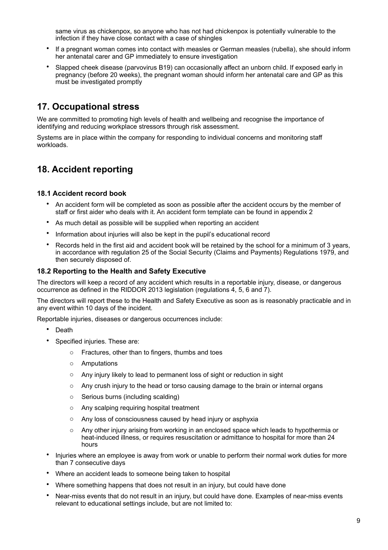same virus as chickenpox, so anyone who has not had chickenpox is potentially vulnerable to the infection if they have close contact with a case of shingles

- If a pregnant woman comes into contact with measles or German measles (rubella), she should inform her antenatal carer and GP immediately to ensure investigation
- Slapped cheek disease (parvovirus B19) can occasionally affect an unborn child. If exposed early in pregnancy (before 20 weeks), the pregnant woman should inform her antenatal care and GP as this must be investigated promptly

### <span id="page-8-0"></span>**17. Occupational stress**

We are committed to promoting high levels of health and wellbeing and recognise the importance of identifying and reducing workplace stressors through risk assessment.

Systems are in place within the company for responding to individual concerns and monitoring staff workloads.

### <span id="page-8-1"></span>**18. Accident reporting**

#### **18.1 Accident record book**

- An accident form will be completed as soon as possible after the accident occurs by the member of staff or first aider who deals with it. An accident form template can be found in appendix 2
- As much detail as possible will be supplied when reporting an accident
- Information about injuries will also be kept in the pupil's educational record
- Records held in the first aid and accident book will be retained by the school for a minimum of 3 years, in accordance with regulation 25 of the Social Security (Claims and Payments) Regulations 1979, and then securely disposed of.

#### **18.2 Reporting to the Health and Safety Executive**

The directors will keep a record of any accident which results in a reportable injury, disease, or dangerous occurrence as defined in the RIDDOR 2013 legislation (regulations 4, 5, 6 and 7).

The directors will report these to the Health and Safety Executive as soon as is reasonably practicable and in any event within 10 days of the incident.

Reportable injuries, diseases or dangerous occurrences include:

- Death
- Specified injuries. These are:
	- o Fractures, other than to fingers, thumbs and toes
	- o Amputations
	- o Any injury likely to lead to permanent loss of sight or reduction in sight
	- $\circ$  Any crush injury to the head or torso causing damage to the brain or internal organs
	- o Serious burns (including scalding)
	- o Any scalping requiring hospital treatment
	- o Any loss of consciousness caused by head injury or asphyxia
	- o Any other injury arising from working in an enclosed space which leads to hypothermia or heat-induced illness, or requires resuscitation or admittance to hospital for more than 24 hours
- Injuries where an employee is away from work or unable to perform their normal work duties for more than 7 consecutive days
- Where an accident leads to someone being taken to hospital
- Where something happens that does not result in an injury, but could have done
- Near-miss events that do not result in an injury, but could have done. Examples of near-miss events relevant to educational settings include, but are not limited to: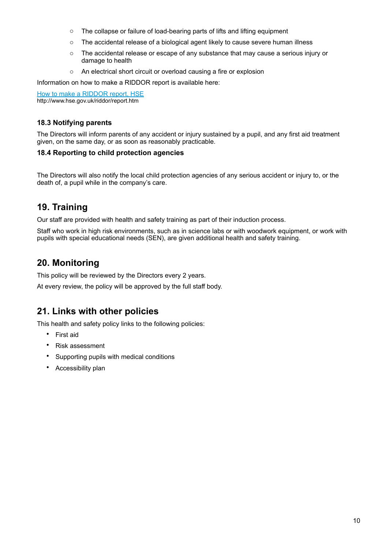- o The collapse or failure of load-bearing parts of lifts and lifting equipment
- $\circ$  The accidental release of a biological agent likely to cause severe human illness
- o The accidental release or escape of any substance that may cause a serious injury or damage to health
- o An electrical short circuit or overload causing a fire or explosion

Information on how to make a RIDDOR report is available here:

[How to make a RIDDOR report, HSE](http://www.hse.gov.uk/riddor/report.htm) http://www.hse.gov.uk/riddor/report.htm

#### **18.3 Notifying parents**

The Directors will inform parents of any accident or injury sustained by a pupil, and any first aid treatment given, on the same day, or as soon as reasonably practicable.

#### **18.4 Reporting to child protection agencies**

The Directors will also notify the local child protection agencies of any serious accident or injury to, or the death of, a pupil while in the company's care.

### <span id="page-9-0"></span>**19. Training**

Our staff are provided with health and safety training as part of their induction process.

Staff who work in high risk environments, such as in science labs or with woodwork equipment, or work with pupils with special educational needs (SEN), are given additional health and safety training.

### <span id="page-9-1"></span>**20. Monitoring**

This policy will be reviewed by the Directors every 2 years.

At every review, the policy will be approved by the full staff body.

### <span id="page-9-2"></span>**21. Links with other policies**

This health and safety policy links to the following policies:

- First aid
- Risk assessment
- Supporting pupils with medical conditions
- Accessibility plan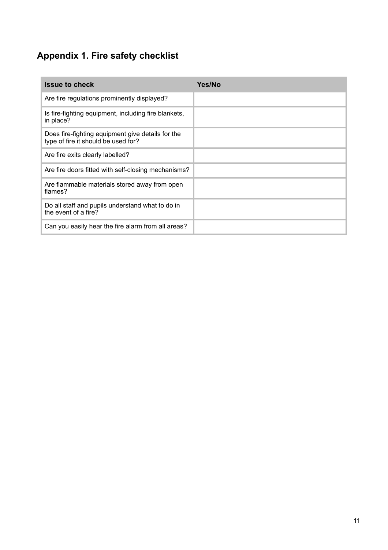# <span id="page-10-0"></span>**Appendix 1. Fire safety checklist**

| <b>Issue to check</b>                                                                    | <b>Yes/No</b> |
|------------------------------------------------------------------------------------------|---------------|
| Are fire regulations prominently displayed?                                              |               |
| Is fire-fighting equipment, including fire blankets,<br>in place?                        |               |
| Does fire-fighting equipment give details for the<br>type of fire it should be used for? |               |
| Are fire exits clearly labelled?                                                         |               |
| Are fire doors fitted with self-closing mechanisms?                                      |               |
| Are flammable materials stored away from open<br>flames?                                 |               |
| Do all staff and pupils understand what to do in<br>the event of a fire?                 |               |
| Can you easily hear the fire alarm from all areas?                                       |               |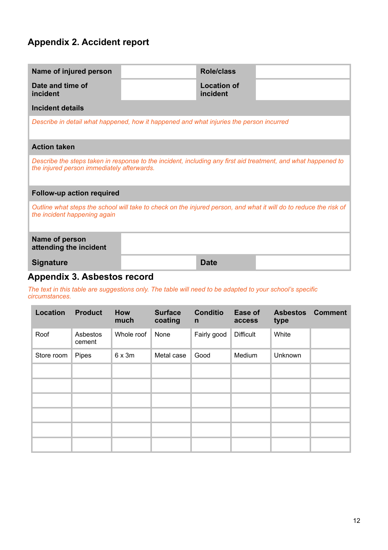## <span id="page-11-0"></span>**Appendix 2. Accident report**

<span id="page-11-1"></span>

| Name of injured person                                                                                                                                      |  | <b>Role/class</b>              |  |  |
|-------------------------------------------------------------------------------------------------------------------------------------------------------------|--|--------------------------------|--|--|
| Date and time of<br>incident                                                                                                                                |  | <b>Location of</b><br>incident |  |  |
| <b>Incident details</b>                                                                                                                                     |  |                                |  |  |
| Describe in detail what happened, how it happened and what injuries the person incurred                                                                     |  |                                |  |  |
| <b>Action taken</b>                                                                                                                                         |  |                                |  |  |
| Describe the steps taken in response to the incident, including any first aid treatment, and what happened to<br>the injured person immediately afterwards. |  |                                |  |  |
| <b>Follow-up action required</b>                                                                                                                            |  |                                |  |  |
| Outline what steps the school will take to check on the injured person, and what it will do to reduce the risk of<br>the incident happening again           |  |                                |  |  |
| Name of person<br>attending the incident                                                                                                                    |  |                                |  |  |
| <b>Signature</b>                                                                                                                                            |  | <b>Date</b>                    |  |  |

### **Appendix 3. Asbestos record**

*The text in this table are suggestions only. The table will need to be adapted to your school's specific circumstances.* 

| Location   | <b>Product</b>     | How<br>much | <b>Surface</b><br>coating | <b>Conditio</b><br>$\mathsf{n}$ | Ease of<br>access | <b>Asbestos</b><br>type | <b>Comment</b> |
|------------|--------------------|-------------|---------------------------|---------------------------------|-------------------|-------------------------|----------------|
| Roof       | Asbestos<br>cement | Whole roof  | None                      | Fairly good                     | <b>Difficult</b>  | White                   |                |
| Store room | Pipes              | 6x3m        | Metal case                | Good                            | Medium            | Unknown                 |                |
|            |                    |             |                           |                                 |                   |                         |                |
|            |                    |             |                           |                                 |                   |                         |                |
|            |                    |             |                           |                                 |                   |                         |                |
|            |                    |             |                           |                                 |                   |                         |                |
|            |                    |             |                           |                                 |                   |                         |                |
|            |                    |             |                           |                                 |                   |                         |                |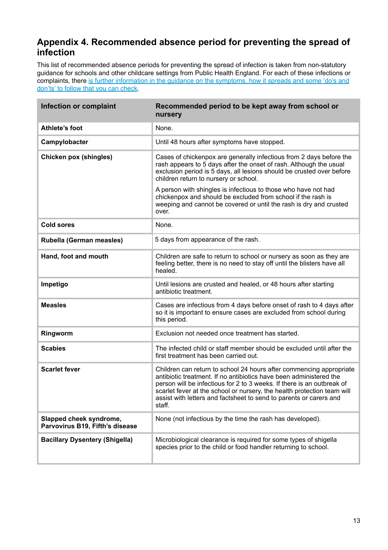### <span id="page-12-0"></span>**Appendix 4. Recommended absence period for preventing the spread of infection**

This list of recommended absence periods for preventing the spread of infection is taken from non-statutory guidance for schools and other childcare settings from Public Health England. For each of these infections or complaints, there is further information in the quidance on the symptoms, how it spreads and some 'do's and [don'ts' to follow that you can check.](https://www.gov.uk/government/publications/health-protection-in-schools-and-other-childcare-facilities/chapter-9-managing-specific-infectious-diseases)

| Infection or complaint                                     | Recommended period to be kept away from school or<br>nursery                                                                                                                                                                                                                                                                                                                   |
|------------------------------------------------------------|--------------------------------------------------------------------------------------------------------------------------------------------------------------------------------------------------------------------------------------------------------------------------------------------------------------------------------------------------------------------------------|
| Athlete's foot                                             | None.                                                                                                                                                                                                                                                                                                                                                                          |
| Campylobacter                                              | Until 48 hours after symptoms have stopped.                                                                                                                                                                                                                                                                                                                                    |
| <b>Chicken pox (shingles)</b>                              | Cases of chickenpox are generally infectious from 2 days before the<br>rash appears to 5 days after the onset of rash. Although the usual<br>exclusion period is 5 days, all lesions should be crusted over before<br>children return to nursery or school.                                                                                                                    |
|                                                            | A person with shingles is infectious to those who have not had<br>chickenpox and should be excluded from school if the rash is<br>weeping and cannot be covered or until the rash is dry and crusted<br>over.                                                                                                                                                                  |
| <b>Cold sores</b>                                          | None.                                                                                                                                                                                                                                                                                                                                                                          |
| Rubella (German measles)                                   | 5 days from appearance of the rash.                                                                                                                                                                                                                                                                                                                                            |
| Hand, foot and mouth                                       | Children are safe to return to school or nursery as soon as they are<br>feeling better, there is no need to stay off until the blisters have all<br>healed.                                                                                                                                                                                                                    |
| Impetigo                                                   | Until lesions are crusted and healed, or 48 hours after starting<br>antibiotic treatment.                                                                                                                                                                                                                                                                                      |
| <b>Measles</b>                                             | Cases are infectious from 4 days before onset of rash to 4 days after<br>so it is important to ensure cases are excluded from school during<br>this period.                                                                                                                                                                                                                    |
| Ringworm                                                   | Exclusion not needed once treatment has started.                                                                                                                                                                                                                                                                                                                               |
| <b>Scabies</b>                                             | The infected child or staff member should be excluded until after the<br>first treatment has been carried out.                                                                                                                                                                                                                                                                 |
| <b>Scarlet fever</b>                                       | Children can return to school 24 hours after commencing appropriate<br>antibiotic treatment. If no antibiotics have been administered the<br>person will be infectious for 2 to 3 weeks. If there is an outbreak of<br>scarlet fever at the school or nursery, the health protection team will<br>assist with letters and factsheet to send to parents or carers and<br>staff. |
| Slapped cheek syndrome,<br>Parvovirus B19, Fifth's disease | None (not infectious by the time the rash has developed).                                                                                                                                                                                                                                                                                                                      |
| <b>Bacillary Dysentery (Shigella)</b>                      | Microbiological clearance is required for some types of shigella<br>species prior to the child or food handler returning to school.                                                                                                                                                                                                                                            |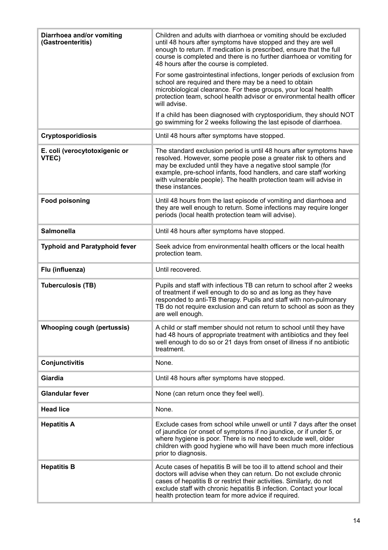| Diarrhoea and/or vomiting<br>(Gastroenteritis) | Children and adults with diarrhoea or vomiting should be excluded<br>until 48 hours after symptoms have stopped and they are well<br>enough to return. If medication is prescribed, ensure that the full<br>course is completed and there is no further diarrhoea or vomiting for<br>48 hours after the course is completed.                                            |
|------------------------------------------------|-------------------------------------------------------------------------------------------------------------------------------------------------------------------------------------------------------------------------------------------------------------------------------------------------------------------------------------------------------------------------|
|                                                | For some gastrointestinal infections, longer periods of exclusion from<br>school are required and there may be a need to obtain<br>microbiological clearance. For these groups, your local health<br>protection team, school health advisor or environmental health officer<br>will advise.                                                                             |
|                                                | If a child has been diagnosed with cryptosporidium, they should NOT<br>go swimming for 2 weeks following the last episode of diarrhoea.                                                                                                                                                                                                                                 |
| <b>Cryptosporidiosis</b>                       | Until 48 hours after symptoms have stopped.                                                                                                                                                                                                                                                                                                                             |
| E. coli (verocytotoxigenic or<br>VTEC)         | The standard exclusion period is until 48 hours after symptoms have<br>resolved. However, some people pose a greater risk to others and<br>may be excluded until they have a negative stool sample (for<br>example, pre-school infants, food handlers, and care staff working<br>with vulnerable people). The health protection team will advise in<br>these instances. |
| <b>Food poisoning</b>                          | Until 48 hours from the last episode of vomiting and diarrhoea and<br>they are well enough to return. Some infections may require longer<br>periods (local health protection team will advise).                                                                                                                                                                         |
| <b>Salmonella</b>                              | Until 48 hours after symptoms have stopped.                                                                                                                                                                                                                                                                                                                             |
| <b>Typhoid and Paratyphoid fever</b>           | Seek advice from environmental health officers or the local health<br>protection team.                                                                                                                                                                                                                                                                                  |
| Flu (influenza)                                | Until recovered.                                                                                                                                                                                                                                                                                                                                                        |
| <b>Tuberculosis (TB)</b>                       | Pupils and staff with infectious TB can return to school after 2 weeks<br>of treatment if well enough to do so and as long as they have<br>responded to anti-TB therapy. Pupils and staff with non-pulmonary<br>TB do not require exclusion and can return to school as soon as they<br>are well enough.                                                                |
| <b>Whooping cough (pertussis)</b>              | A child or staff member should not return to school until they have<br>had 48 hours of appropriate treatment with antibiotics and they feel<br>well enough to do so or 21 days from onset of illness if no antibiotic<br>treatment.                                                                                                                                     |
| Conjunctivitis                                 | None.                                                                                                                                                                                                                                                                                                                                                                   |
| <b>Giardia</b>                                 | Until 48 hours after symptoms have stopped.                                                                                                                                                                                                                                                                                                                             |
| <b>Glandular fever</b>                         | None (can return once they feel well).                                                                                                                                                                                                                                                                                                                                  |
| <b>Head lice</b>                               | None.                                                                                                                                                                                                                                                                                                                                                                   |
| <b>Hepatitis A</b>                             | Exclude cases from school while unwell or until 7 days after the onset<br>of jaundice (or onset of symptoms if no jaundice, or if under 5, or<br>where hygiene is poor. There is no need to exclude well, older<br>children with good hygiene who will have been much more infectious<br>prior to diagnosis.                                                            |
| <b>Hepatitis B</b>                             | Acute cases of hepatitis B will be too ill to attend school and their<br>doctors will advise when they can return. Do not exclude chronic<br>cases of hepatitis B or restrict their activities. Similarly, do not<br>exclude staff with chronic hepatitis B infection. Contact your local<br>health protection team for more advice if required.                        |